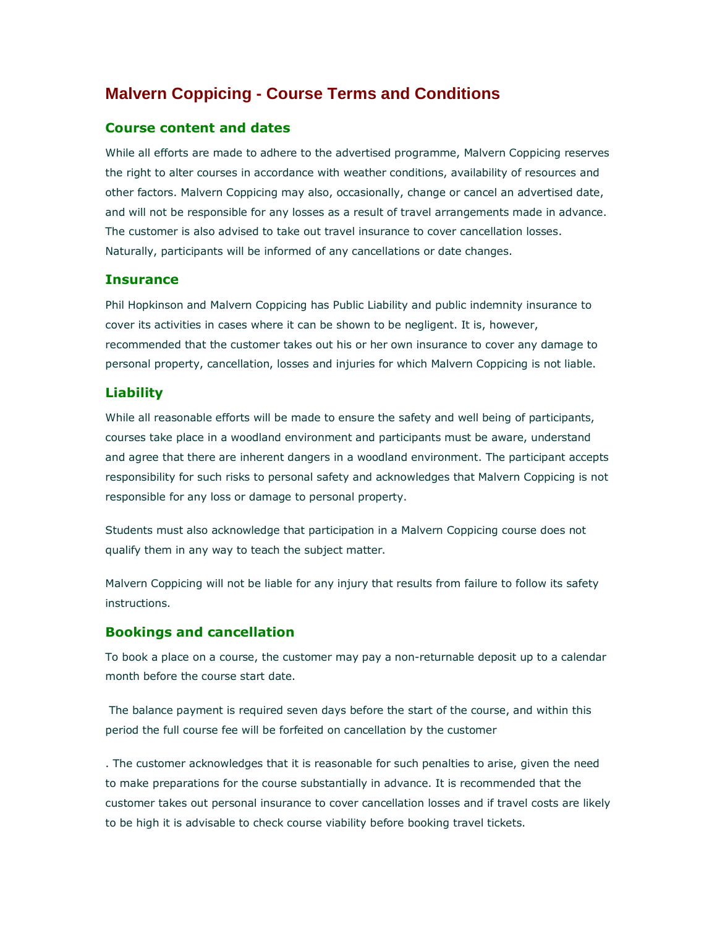# **Malvern Coppicing - Course Terms and Conditions**

# Course content and dates

While all efforts are made to adhere to the advertised programme, Malvern Coppicing reserves the right to alter courses in accordance with weather conditions, availability of resources and other factors. Malvern Coppicing may also, occasionally, change or cancel an advertised date, and will not be responsible for any losses as a result of travel arrangements made in advance. The customer is also advised to take out travel insurance to cover cancellation losses. Naturally, participants will be informed of any cancellations or date changes.

#### **Insurance**

Phil Hopkinson and Malvern Coppicing has Public Liability and public indemnity insurance to cover its activities in cases where it can be shown to be negligent. It is, however, recommended that the customer takes out his or her own insurance to cover any damage to personal property, cancellation, losses and injuries for which Malvern Coppicing is not liable.

# Liability

While all reasonable efforts will be made to ensure the safety and well being of participants, courses take place in a woodland environment and participants must be aware, understand and agree that there are inherent dangers in a woodland environment. The participant accepts responsibility for such risks to personal safety and acknowledges that Malvern Coppicing is not responsible for any loss or damage to personal property.

Students must also acknowledge that participation in a Malvern Coppicing course does not qualify them in any way to teach the subject matter.

Malvern Coppicing will not be liable for any injury that results from failure to follow its safety instructions.

# Bookings and cancellation

To book a place on a course, the customer may pay a non-returnable deposit up to a calendar month before the course start date.

 The balance payment is required seven days before the start of the course, and within this period the full course fee will be forfeited on cancellation by the customer

. The customer acknowledges that it is reasonable for such penalties to arise, given the need to make preparations for the course substantially in advance. It is recommended that the customer takes out personal insurance to cover cancellation losses and if travel costs are likely to be high it is advisable to check course viability before booking travel tickets.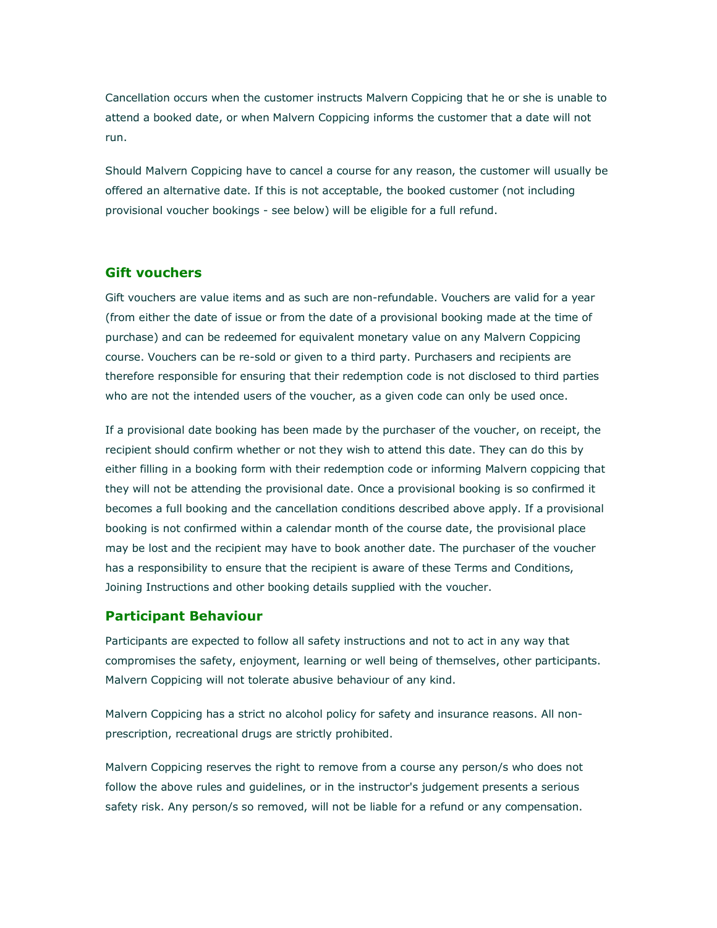Cancellation occurs when the customer instructs Malvern Coppicing that he or she is unable to attend a booked date, or when Malvern Coppicing informs the customer that a date will not run.

Should Malvern Coppicing have to cancel a course for any reason, the customer will usually be offered an alternative date. If this is not acceptable, the booked customer (not including provisional voucher bookings - see below) will be eligible for a full refund.

### Gift vouchers

Gift vouchers are value items and as such are non-refundable. Vouchers are valid for a year (from either the date of issue or from the date of a provisional booking made at the time of purchase) and can be redeemed for equivalent monetary value on any Malvern Coppicing course. Vouchers can be re-sold or given to a third party. Purchasers and recipients are therefore responsible for ensuring that their redemption code is not disclosed to third parties who are not the intended users of the voucher, as a given code can only be used once.

If a provisional date booking has been made by the purchaser of the voucher, on receipt, the recipient should confirm whether or not they wish to attend this date. They can do this by either filling in a booking form with their redemption code or informing Malvern coppicing that they will not be attending the provisional date. Once a provisional booking is so confirmed it becomes a full booking and the cancellation conditions described above apply. If a provisional booking is not confirmed within a calendar month of the course date, the provisional place may be lost and the recipient may have to book another date. The purchaser of the voucher has a responsibility to ensure that the recipient is aware of these Terms and Conditions, Joining Instructions and other booking details supplied with the voucher.

#### Participant Behaviour

Participants are expected to follow all safety instructions and not to act in any way that compromises the safety, enjoyment, learning or well being of themselves, other participants. Malvern Coppicing will not tolerate abusive behaviour of any kind.

Malvern Coppicing has a strict no alcohol policy for safety and insurance reasons. All nonprescription, recreational drugs are strictly prohibited.

Malvern Coppicing reserves the right to remove from a course any person/s who does not follow the above rules and guidelines, or in the instructor's judgement presents a serious safety risk. Any person/s so removed, will not be liable for a refund or any compensation.